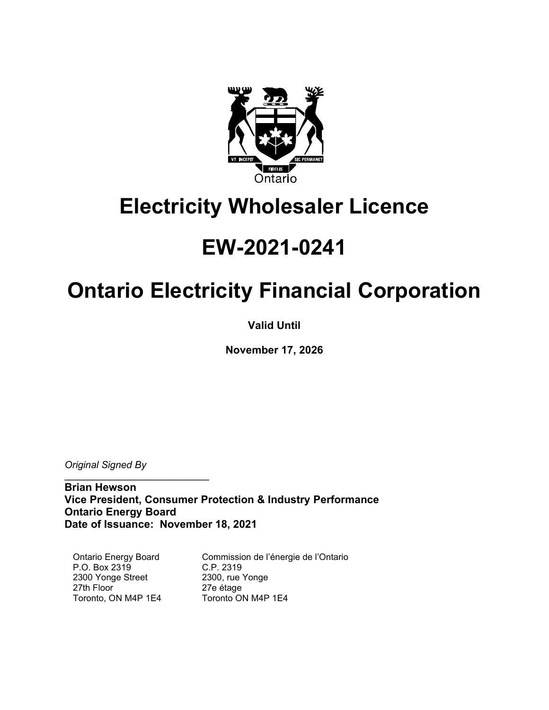

## **Electricity Wholesaler Licence**

# **EW-2021-0241**

# **Ontario Electricity Financial Corporation**

**Valid Until**

**November 17, 2026** 

*Original Signed By*

 $\mathcal{L}=\{1,2,3,4,5\}$ 

**Brian Hewson Vice President, Consumer Protection & Industry Performance Ontario Energy Board Date of Issuance: November 18, 2021**

Ontario Energy Board P.O. Box 2319 2300 Yonge Street 27th Floor Toronto, ON M4P 1E4

Commission de l'énergie de l'Ontario C.P. 2319 2300, rue Yonge 27e étage Toronto ON M4P 1E4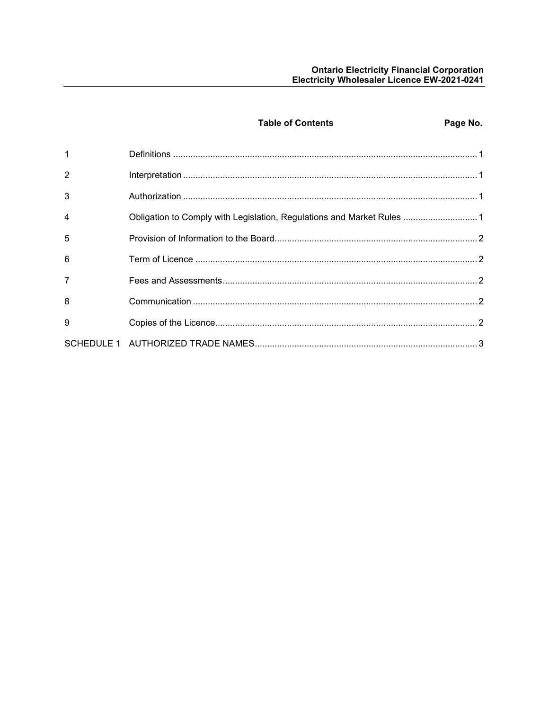|                | <b>Table of Contents</b>                                               | Page No. |
|----------------|------------------------------------------------------------------------|----------|
| $\overline{1}$ |                                                                        |          |
| $\overline{2}$ |                                                                        |          |
| 3              |                                                                        |          |
| $\overline{4}$ | Obligation to Comply with Legislation, Regulations and Market Rules  1 |          |
| 5              |                                                                        |          |
| 6              |                                                                        |          |
| $\overline{7}$ |                                                                        |          |
| 8              |                                                                        |          |
| 9              |                                                                        |          |
|                |                                                                        |          |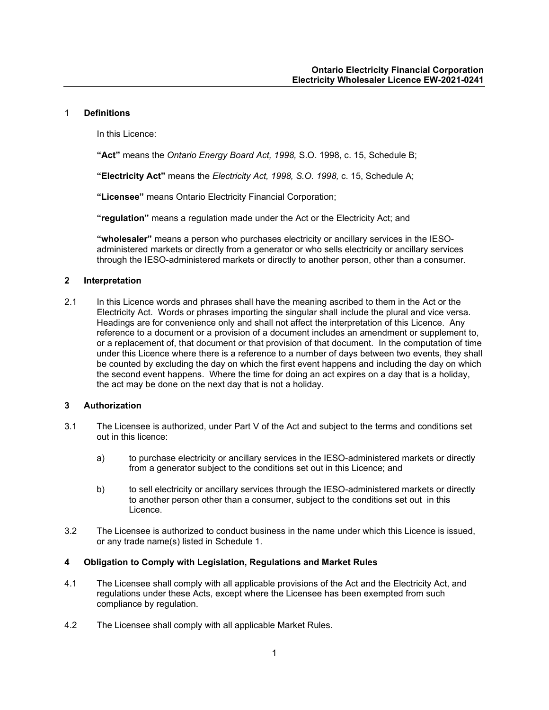#### <span id="page-2-0"></span>1 **Definitions**

In this Licence:

**"Act"** means the *Ontario Energy Board Act, 1998,* S.O. 1998, c. 15, Schedule B;

**"Electricity Act"** means the *Electricity Act, 1998, S.O. 1998,* c. 15, Schedule A;

**"Licensee"** means Ontario Electricity Financial Corporation;

**"regulation"** means a regulation made under the Act or the Electricity Act; and

**"wholesaler"** means a person who purchases electricity or ancillary services in the IESOadministered markets or directly from a generator or who sells electricity or ancillary services through the IESO-administered markets or directly to another person, other than a consumer.

## <span id="page-2-1"></span>**2 Interpretation**

2.1 In this Licence words and phrases shall have the meaning ascribed to them in the Act or the Electricity Act. Words or phrases importing the singular shall include the plural and vice versa. Headings are for convenience only and shall not affect the interpretation of this Licence. Any reference to a document or a provision of a document includes an amendment or supplement to, or a replacement of, that document or that provision of that document. In the computation of time under this Licence where there is a reference to a number of days between two events, they shall be counted by excluding the day on which the first event happens and including the day on which the second event happens. Where the time for doing an act expires on a day that is a holiday, the act may be done on the next day that is not a holiday.

#### <span id="page-2-2"></span>**3 Authorization**

- 3.1 The Licensee is authorized, under Part V of the Act and subject to the terms and conditions set out in this licence:
	- a) to purchase electricity or ancillary services in the IESO-administered markets or directly from a generator subject to the conditions set out in this Licence; and
	- b) to sell electricity or ancillary services through the IESO-administered markets or directly to another person other than a consumer, subject to the conditions set out in this Licence.
- 3.2 The Licensee is authorized to conduct business in the name under which this Licence is issued, or any trade name(s) listed in Schedule 1.

#### <span id="page-2-3"></span>**4 Obligation to Comply with Legislation, Regulations and Market Rules**

- 4.1 The Licensee shall comply with all applicable provisions of the Act and the Electricity Act, and regulations under these Acts, except where the Licensee has been exempted from such compliance by regulation.
- 4.2 The Licensee shall comply with all applicable Market Rules.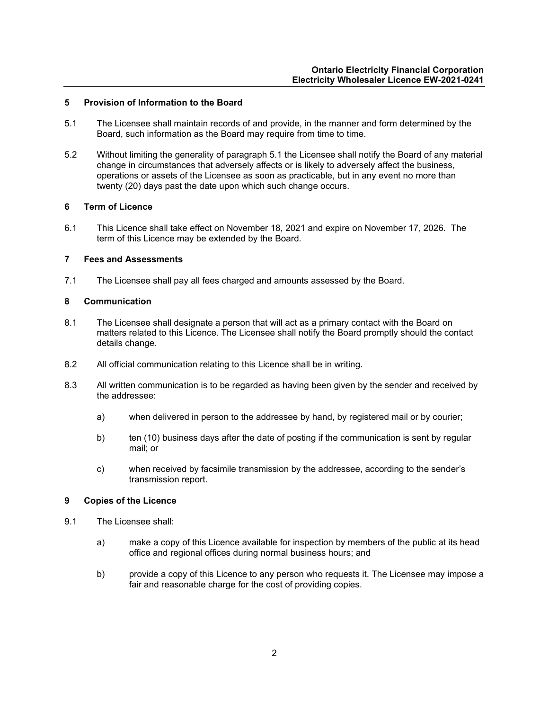#### <span id="page-3-0"></span>**5 Provision of Information to the Board**

- 5.1 The Licensee shall maintain records of and provide, in the manner and form determined by the Board, such information as the Board may require from time to time.
- 5.2 Without limiting the generality of paragraph 5.1 the Licensee shall notify the Board of any material change in circumstances that adversely affects or is likely to adversely affect the business, operations or assets of the Licensee as soon as practicable, but in any event no more than twenty (20) days past the date upon which such change occurs.

### <span id="page-3-1"></span>**6 Term of Licence**

6.1 This Licence shall take effect on November 18, 2021 and expire on November 17, 2026. The term of this Licence may be extended by the Board.

### <span id="page-3-2"></span>**7 Fees and Assessments**

7.1 The Licensee shall pay all fees charged and amounts assessed by the Board.

### <span id="page-3-3"></span>**8 Communication**

- 8.1 The Licensee shall designate a person that will act as a primary contact with the Board on matters related to this Licence. The Licensee shall notify the Board promptly should the contact details change.
- 8.2 All official communication relating to this Licence shall be in writing.
- 8.3 All written communication is to be regarded as having been given by the sender and received by the addressee:
	- a) when delivered in person to the addressee by hand, by registered mail or by courier;
	- b) ten (10) business days after the date of posting if the communication is sent by regular mail; or
	- c) when received by facsimile transmission by the addressee, according to the sender's transmission report.

## <span id="page-3-4"></span>**9 Copies of the Licence**

- <span id="page-3-5"></span>9.1 The Licensee shall:
	- a) make a copy of this Licence available for inspection by members of the public at its head office and regional offices during normal business hours; and
	- b) provide a copy of this Licence to any person who requests it. The Licensee may impose a fair and reasonable charge for the cost of providing copies.